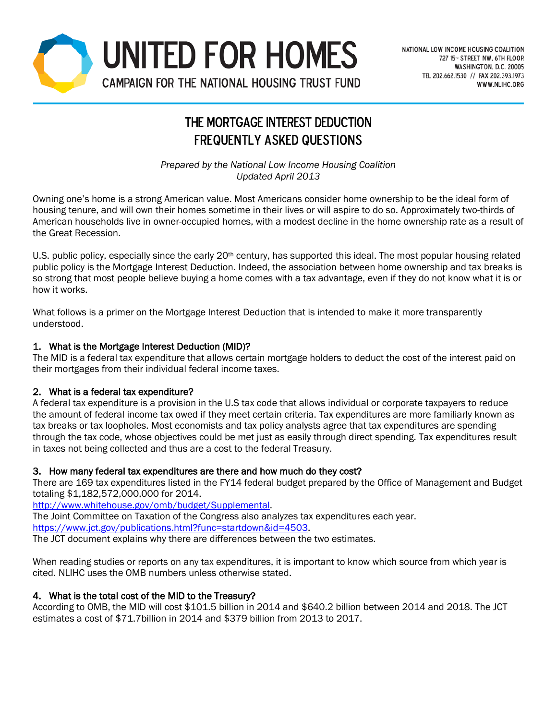

# THE MORTGAGE INTEREST DEDUCTION Frequently Asked Questions

*Prepared by the National Low Income Housing Coalition Updated April 2013*

Owning one's home is a strong American value. Most Americans consider home ownership to be the ideal form of housing tenure, and will own their homes sometime in their lives or will aspire to do so. Approximately two-thirds of American households live in owner-occupied homes, with a modest decline in the home ownership rate as a result of the Great Recession.

U.S. public policy, especially since the early  $20<sup>th</sup>$  century, has supported this ideal. The most popular housing related public policy is the Mortgage Interest Deduction. Indeed, the association between home ownership and tax breaks is so strong that most people believe buying a home comes with a tax advantage, even if they do not know what it is or how it works.

What follows is a primer on the Mortgage Interest Deduction that is intended to make it more transparently understood.

# 1. What is the Mortgage Interest Deduction (MID)?

The MID is a federal tax expenditure that allows certain mortgage holders to deduct the cost of the interest paid on their mortgages from their individual federal income taxes.

# 2. What is a federal tax expenditure?

A federal tax expenditure is a provision in the U.S tax code that allows individual or corporate taxpayers to reduce the amount of federal income tax owed if they meet certain criteria. Tax expenditures are more familiarly known as tax breaks or tax loopholes. Most economists and tax policy analysts agree that tax expenditures are spending through the tax code, whose objectives could be met just as easily through direct spending. Tax expenditures result in taxes not being collected and thus are a cost to the federal Treasury.

# 3. How many federal tax expenditures are there and how much do they cost?

There are 169 tax expenditures listed in the FY14 federal budget prepared by the Office of Management and Budget totaling \$1,182,572,000,000 for 2014.

[http://www.whitehouse.gov/omb/budget/Supplemental.](http://www.whitehouse.gov/omb/budget/Supplemental)

The Joint Committee on Taxation of the Congress also analyzes tax expenditures each year.

[https://www.jct.gov/publications.html?func=startdown&id=4503.](https://www.jct.gov/publications.html?func=startdown&id=4503)

The JCT document explains why there are differences between the two estimates.

When reading studies or reports on any tax expenditures, it is important to know which source from which year is cited. NLIHC uses the OMB numbers unless otherwise stated.

# 4. What is the total cost of the MID to the Treasury?

According to OMB, the MID will cost \$101.5 billion in 2014 and \$640.2 billion between 2014 and 2018. The JCT estimates a cost of \$71.7billion in 2014 and \$379 billion from 2013 to 2017.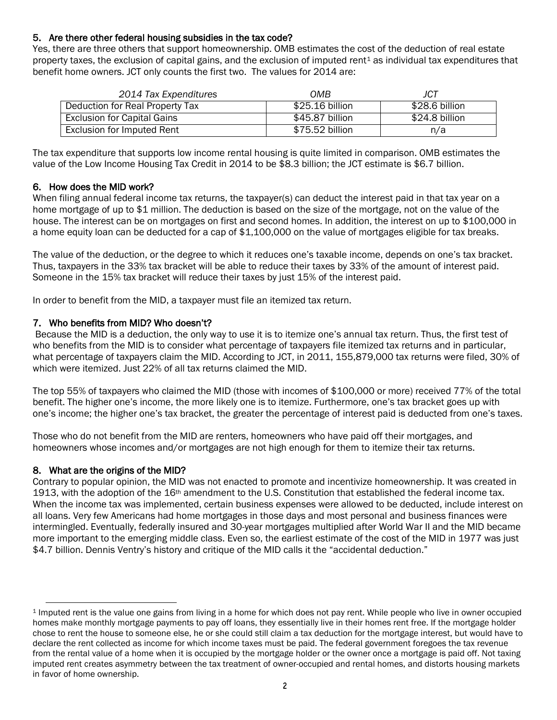# 5. Are there other federal housing subsidies in the tax code?

Yes, there are three others that support homeownership. OMB estimates the cost of the deduction of real estate property taxes, the exclusion of capital gains, and the exclusion of imputed rent $1$  as individual tax expenditures that benefit home owners. JCT only counts the first two. The values for 2014 are:

| 2014 Tax Expenditures              | OMB             | JCT            |
|------------------------------------|-----------------|----------------|
| Deduction for Real Property Tax    | \$25.16 billion | \$28.6 billion |
| <b>Exclusion for Capital Gains</b> | \$45.87 billion | \$24.8 billion |
| Exclusion for Imputed Rent         | \$75.52 billion | n/a            |

The tax expenditure that supports low income rental housing is quite limited in comparison. OMB estimates the value of the Low Income Housing Tax Credit in 2014 to be \$8.3 billion; the JCT estimate is \$6.7 billion.

# 6. How does the MID work?

When filing annual federal income tax returns, the taxpayer(s) can deduct the interest paid in that tax year on a home mortgage of up to \$1 million. The deduction is based on the size of the mortgage, not on the value of the house. The interest can be on mortgages on first and second homes. In addition, the interest on up to \$100,000 in a home equity loan can be deducted for a cap of \$1,100,000 on the value of mortgages eligible for tax breaks.

The value of the deduction, or the degree to which it reduces one's taxable income, depends on one's tax bracket. Thus, taxpayers in the 33% tax bracket will be able to reduce their taxes by 33% of the amount of interest paid. Someone in the 15% tax bracket will reduce their taxes by just 15% of the interest paid.

In order to benefit from the MID, a taxpayer must file an itemized tax return.

# 7. Who benefits from MID? Who doesn't?

Because the MID is a deduction, the only way to use it is to itemize one's annual tax return. Thus, the first test of who benefits from the MID is to consider what percentage of taxpayers file itemized tax returns and in particular, what percentage of taxpayers claim the MID. According to JCT, in 2011, 155,879,000 tax returns were filed, 30% of which were itemized. Just 22% of all tax returns claimed the MID.

The top 55% of taxpayers who claimed the MID (those with incomes of \$100,000 or more) received 77% of the total benefit. The higher one's income, the more likely one is to itemize. Furthermore, one's tax bracket goes up with one's income; the higher one's tax bracket, the greater the percentage of interest paid is deducted from one's taxes.

Those who do not benefit from the MID are renters, homeowners who have paid off their mortgages, and homeowners whose incomes and/or mortgages are not high enough for them to itemize their tax returns.

# 8. What are the origins of the MID?

Contrary to popular opinion, the MID was not enacted to promote and incentivize homeownership. It was created in 1913, with the adoption of the 16<sup>th</sup> amendment to the U.S. Constitution that established the federal income tax. When the income tax was implemented, certain business expenses were allowed to be deducted, include interest on all loans. Very few Americans had home mortgages in those days and most personal and business finances were intermingled. Eventually, federally insured and 30-year mortgages multiplied after World War II and the MID became more important to the emerging middle class. Even so, the earliest estimate of the cost of the MID in 1977 was just \$4.7 billion. Dennis Ventry's history and critique of the MID calls it the "accidental deduction."

<span id="page-1-0"></span> $\overline{a}$ <sup>1</sup> Imputed rent is the value one gains from living in a home for which does not pay rent. While people who live in owner occupied homes make monthly mortgage payments to pay off loans, they essentially live in their homes rent free. If the mortgage holder chose to rent the house to someone else, he or she could still claim a tax deduction for the mortgage interest, but would have to declare the rent collected as income for which income taxes must be paid. The federal government foregoes the tax revenue from the rental value of a home when it is occupied by the mortgage holder or the owner once a mortgage is paid off. Not taxing imputed rent creates asymmetry between the tax treatment of owner-occupied and rental homes, and distorts housing markets in favor of home ownership.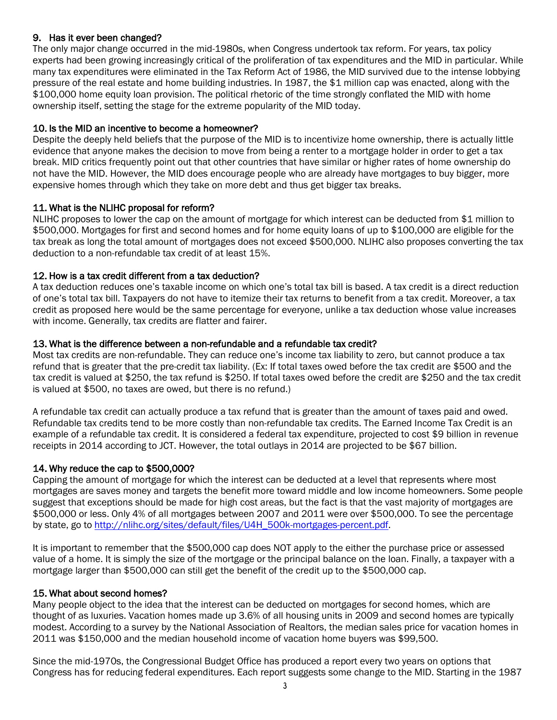# 9. Has it ever been changed?

The only major change occurred in the mid-1980s, when Congress undertook tax reform. For years, tax policy experts had been growing increasingly critical of the proliferation of tax expenditures and the MID in particular. While many tax expenditures were eliminated in the Tax Reform Act of 1986, the MID survived due to the intense lobbying pressure of the real estate and home building industries. In 1987, the \$1 million cap was enacted, along with the \$100,000 home equity loan provision. The political rhetoric of the time strongly conflated the MID with home ownership itself, setting the stage for the extreme popularity of the MID today.

# 10. Is the MID an incentive to become a homeowner?

Despite the deeply held beliefs that the purpose of the MID is to incentivize home ownership, there is actually little evidence that anyone makes the decision to move from being a renter to a mortgage holder in order to get a tax break. MID critics frequently point out that other countries that have similar or higher rates of home ownership do not have the MID. However, the MID does encourage people who are already have mortgages to buy bigger, more expensive homes through which they take on more debt and thus get bigger tax breaks.

# 11. What is the NLIHC proposal for reform?

NLIHC proposes to lower the cap on the amount of mortgage for which interest can be deducted from \$1 million to \$500,000. Mortgages for first and second homes and for home equity loans of up to \$100,000 are eligible for the tax break as long the total amount of mortgages does not exceed \$500,000. NLIHC also proposes converting the tax deduction to a non-refundable tax credit of at least 15%.

# 12. How is a tax credit different from a tax deduction?

A tax deduction reduces one's taxable income on which one's total tax bill is based. A tax credit is a direct reduction of one's total tax bill. Taxpayers do not have to itemize their tax returns to benefit from a tax credit. Moreover, a tax credit as proposed here would be the same percentage for everyone, unlike a tax deduction whose value increases with income. Generally, tax credits are flatter and fairer.

# 13. What is the difference between a non-refundable and a refundable tax credit?

Most tax credits are non-refundable. They can reduce one's income tax liability to zero, but cannot produce a tax refund that is greater that the pre-credit tax liability. (Ex: If total taxes owed before the tax credit are \$500 and the tax credit is valued at \$250, the tax refund is \$250. If total taxes owed before the credit are \$250 and the tax credit is valued at \$500, no taxes are owed, but there is no refund.)

A refundable tax credit can actually produce a tax refund that is greater than the amount of taxes paid and owed. Refundable tax credits tend to be more costly than non-refundable tax credits. The Earned Income Tax Credit is an example of a refundable tax credit. It is considered a federal tax expenditure, projected to cost \$9 billion in revenue receipts in 2014 according to JCT. However, the total outlays in 2014 are projected to be \$67 billion.

# 14. Why reduce the cap to \$500,000?

Capping the amount of mortgage for which the interest can be deducted at a level that represents where most mortgages are saves money and targets the benefit more toward middle and low income homeowners. Some people suggest that exceptions should be made for high cost areas, but the fact is that the vast majority of mortgages are \$500,000 or less. Only 4% of all mortgages between 2007 and 2011 were over \$500,000. To see the percentage by state, go to [http://nlihc.org/sites/default/files/U4H\\_500k-mortgages-percent.pdf.](http://nlihc.org/sites/default/files/U4H_500k-mortgages-percent.pdf)

It is important to remember that the \$500,000 cap does NOT apply to the either the purchase price or assessed value of a home. It is simply the size of the mortgage or the principal balance on the loan. Finally, a taxpayer with a mortgage larger than \$500,000 can still get the benefit of the credit up to the \$500,000 cap.

# 15. What about second homes?

Many people object to the idea that the interest can be deducted on mortgages for second homes, which are thought of as luxuries. Vacation homes made up 3.6% of all housing units in 2009 and second homes are typically modest. According to a survey by the National Association of Realtors, the median sales price for vacation homes in 2011 was \$150,000 and the median household income of vacation home buyers was \$99,500.

Since the mid-1970s, the Congressional Budget Office has produced a report every two years on options that Congress has for reducing federal expenditures. Each report suggests some change to the MID. Starting in the 1987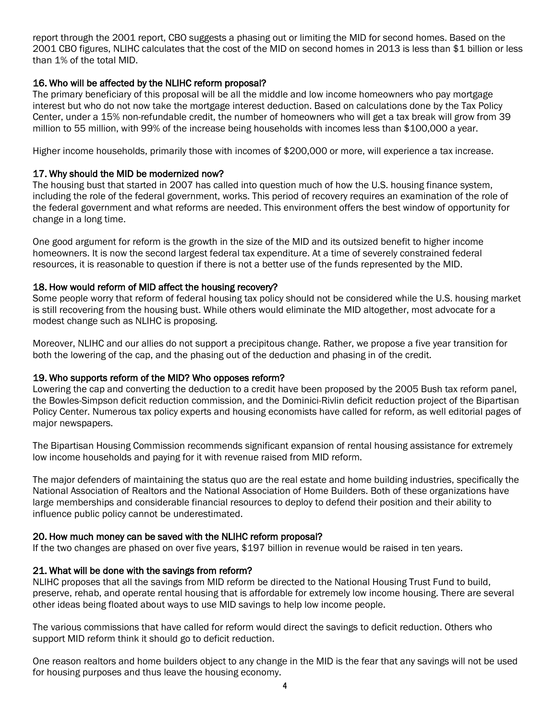report through the 2001 report, CBO suggests a phasing out or limiting the MID for second homes. Based on the 2001 CBO figures, NLIHC calculates that the cost of the MID on second homes in 2013 is less than \$1 billion or less than 1% of the total MID.

#### 16. Who will be affected by the NLIHC reform proposal?

The primary beneficiary of this proposal will be all the middle and low income homeowners who pay mortgage interest but who do not now take the mortgage interest deduction. Based on calculations done by the Tax Policy Center, under a 15% non-refundable credit, the number of homeowners who will get a tax break will grow from 39 million to 55 million, with 99% of the increase being households with incomes less than \$100,000 a year.

Higher income households, primarily those with incomes of \$200,000 or more, will experience a tax increase.

#### 17. Why should the MID be modernized now?

The housing bust that started in 2007 has called into question much of how the U.S. housing finance system, including the role of the federal government, works. This period of recovery requires an examination of the role of the federal government and what reforms are needed. This environment offers the best window of opportunity for change in a long time.

One good argument for reform is the growth in the size of the MID and its outsized benefit to higher income homeowners. It is now the second largest federal tax expenditure. At a time of severely constrained federal resources, it is reasonable to question if there is not a better use of the funds represented by the MID.

#### 18. How would reform of MID affect the housing recovery?

Some people worry that reform of federal housing tax policy should not be considered while the U.S. housing market is still recovering from the housing bust. While others would eliminate the MID altogether, most advocate for a modest change such as NLIHC is proposing.

Moreover, NLIHC and our allies do not support a precipitous change. Rather, we propose a five year transition for both the lowering of the cap, and the phasing out of the deduction and phasing in of the credit.

#### 19. Who supports reform of the MID? Who opposes reform?

Lowering the cap and converting the deduction to a credit have been proposed by the 2005 Bush tax reform panel, the Bowles-Simpson deficit reduction commission, and the Dominici-Rivlin deficit reduction project of the Bipartisan Policy Center. Numerous tax policy experts and housing economists have called for reform, as well editorial pages of major newspapers.

The Bipartisan Housing Commission recommends significant expansion of rental housing assistance for extremely low income households and paying for it with revenue raised from MID reform.

The major defenders of maintaining the status quo are the real estate and home building industries, specifically the National Association of Realtors and the National Association of Home Builders. Both of these organizations have large memberships and considerable financial resources to deploy to defend their position and their ability to influence public policy cannot be underestimated.

#### 20. How much money can be saved with the NLIHC reform proposal?

If the two changes are phased on over five years, \$197 billion in revenue would be raised in ten years.

# 21. What will be done with the savings from reform?

NLIHC proposes that all the savings from MID reform be directed to the National Housing Trust Fund to build, preserve, rehab, and operate rental housing that is affordable for extremely low income housing. There are several other ideas being floated about ways to use MID savings to help low income people.

The various commissions that have called for reform would direct the savings to deficit reduction. Others who support MID reform think it should go to deficit reduction.

One reason realtors and home builders object to any change in the MID is the fear that any savings will not be used for housing purposes and thus leave the housing economy.